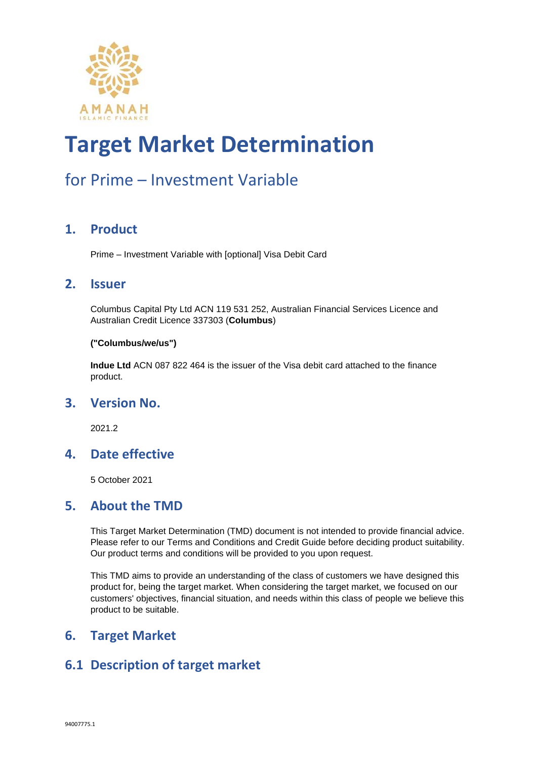

### for Prime – Investment Variable

#### **1. Product**

Prime – Investment Variable with [optional] Visa Debit Card

#### **2. Issuer**

Columbus Capital Pty Ltd ACN 119 531 252, Australian Financial Services Licence and Australian Credit Licence 337303 (**Columbus**)

#### **("Columbus/we/us")**

**Indue Ltd** ACN 087 822 464 is the issuer of the Visa debit card attached to the finance product.

#### **3. Version No.**

2021.2

#### **4. Date effective**

5 October 2021

#### **5. About the TMD**

This Target Market Determination (TMD) document is not intended to provide financial advice. Please refer to our Terms and Conditions and Credit Guide before deciding product suitability. Our product terms and conditions will be provided to you upon request.

This TMD aims to provide an understanding of the class of customers we have designed this product for, being the target market. When considering the target market, we focused on our customers' objectives, financial situation, and needs within this class of people we believe this product to be suitable.

#### **6. Target Market**

#### **6.1 Description of target market**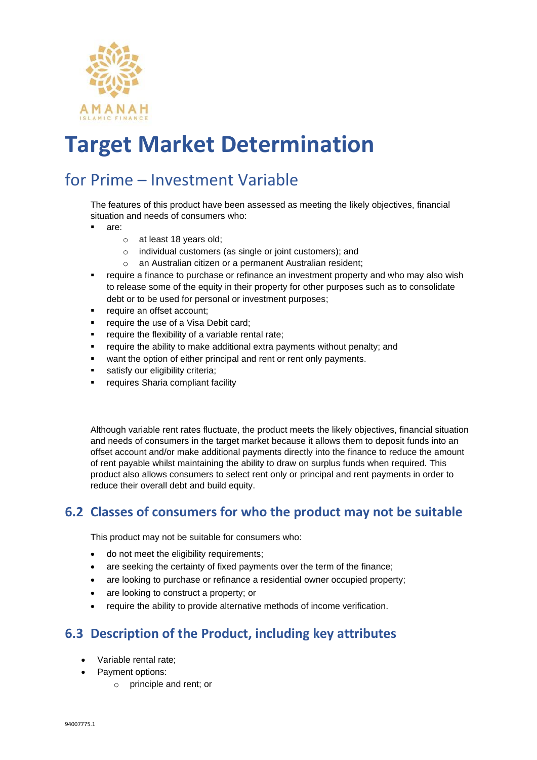

### for Prime – Investment Variable

The features of this product have been assessed as meeting the likely objectives, financial situation and needs of consumers who:

- are:
	- o at least 18 years old;
	- o individual customers (as single or joint customers); and
	- o an Australian citizen or a permanent Australian resident;
- require a finance to purchase or refinance an investment property and who may also wish to release some of the equity in their property for other purposes such as to consolidate debt or to be used for personal or investment purposes;
- require an offset account;
- require the use of a Visa Debit card;
- require the flexibility of a variable rental rate;
- require the ability to make additional extra payments without penalty; and
- want the option of either principal and rent or rent only payments.
- satisfy our eligibility criteria;
- requires Sharia compliant facility

Although variable rent rates fluctuate, the product meets the likely objectives, financial situation and needs of consumers in the target market because it allows them to deposit funds into an offset account and/or make additional payments directly into the finance to reduce the amount of rent payable whilst maintaining the ability to draw on surplus funds when required. This product also allows consumers to select rent only or principal and rent payments in order to reduce their overall debt and build equity.

#### **6.2 Classes of consumers for who the product may not be suitable**

This product may not be suitable for consumers who:

- do not meet the eligibility requirements;
- are seeking the certainty of fixed payments over the term of the finance;
- are looking to purchase or refinance a residential owner occupied property;
- are looking to construct a property; or
- require the ability to provide alternative methods of income verification.

#### **6.3 Description of the Product, including key attributes**

- Variable rental rate;
- Payment options:
	- o principle and rent; or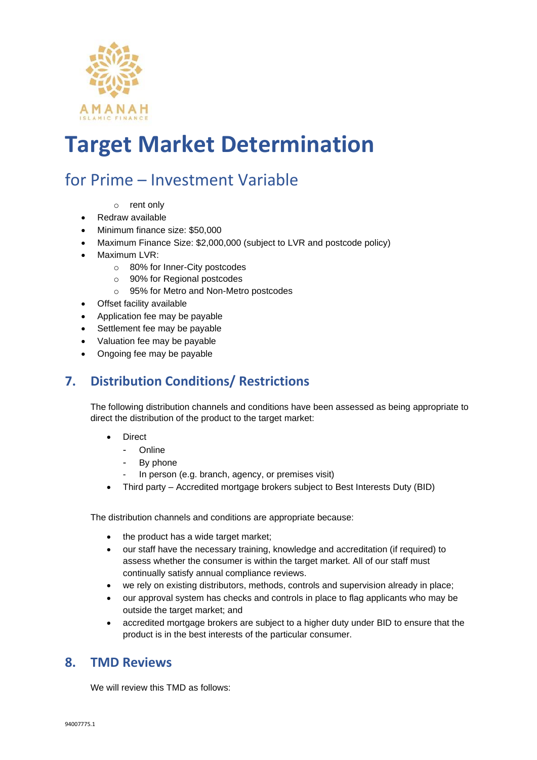

### for Prime – Investment Variable

- o rent only
- Redraw available
- Minimum finance size: \$50,000
- Maximum Finance Size: \$2,000,000 (subject to LVR and postcode policy)
- Maximum LVR:
	- o 80% for Inner-City postcodes
	- o 90% for Regional postcodes
	- o 95% for Metro and Non-Metro postcodes
- Offset facility available
- Application fee may be payable
- Settlement fee may be payable
- Valuation fee may be payable
- Ongoing fee may be payable

#### **7. Distribution Conditions/ Restrictions**

The following distribution channels and conditions have been assessed as being appropriate to direct the distribution of the product to the target market:

- **Direct** 
	- **Online**
	- By phone
	- In person (e.g. branch, agency, or premises visit)
- Third party Accredited mortgage brokers subject to Best Interests Duty (BID)

The distribution channels and conditions are appropriate because:

- the product has a wide target market;
- our staff have the necessary training, knowledge and accreditation (if required) to assess whether the consumer is within the target market. All of our staff must continually satisfy annual compliance reviews.
- we rely on existing distributors, methods, controls and supervision already in place;
- our approval system has checks and controls in place to flag applicants who may be outside the target market; and
- accredited mortgage brokers are subject to a higher duty under BID to ensure that the product is in the best interests of the particular consumer.

#### **8. TMD Reviews**

We will review this TMD as follows: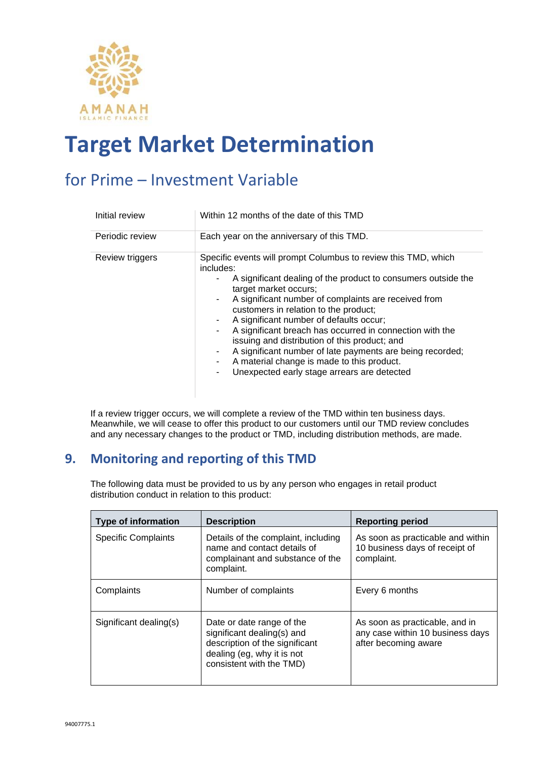

### for Prime – Investment Variable

| Initial review  | Within 12 months of the date of this TMD                                                                                                                                                                                                                                                                                                                                                                                                                                                                                                                                                                                                     |
|-----------------|----------------------------------------------------------------------------------------------------------------------------------------------------------------------------------------------------------------------------------------------------------------------------------------------------------------------------------------------------------------------------------------------------------------------------------------------------------------------------------------------------------------------------------------------------------------------------------------------------------------------------------------------|
| Periodic review | Each year on the anniversary of this TMD.                                                                                                                                                                                                                                                                                                                                                                                                                                                                                                                                                                                                    |
| Review triggers | Specific events will prompt Columbus to review this TMD, which<br>includes:<br>A significant dealing of the product to consumers outside the<br>$\sim$<br>target market occurs;<br>A significant number of complaints are received from<br>$\sim$<br>customers in relation to the product;<br>A significant number of defaults occur;<br>$\sim$<br>A significant breach has occurred in connection with the<br>٠<br>issuing and distribution of this product; and<br>A significant number of late payments are being recorded;<br>۰.<br>A material change is made to this product.<br>۰.<br>Unexpected early stage arrears are detected<br>۰ |

If a review trigger occurs, we will complete a review of the TMD within ten business days. Meanwhile, we will cease to offer this product to our customers until our TMD review concludes and any necessary changes to the product or TMD, including distribution methods, are made.

#### **9. Monitoring and reporting of this TMD**

The following data must be provided to us by any person who engages in retail product distribution conduct in relation to this product:

| <b>Type of information</b> | <b>Description</b>                                                                                                                                  | <b>Reporting period</b>                                                                    |
|----------------------------|-----------------------------------------------------------------------------------------------------------------------------------------------------|--------------------------------------------------------------------------------------------|
| <b>Specific Complaints</b> | Details of the complaint, including<br>name and contact details of<br>complainant and substance of the<br>complaint.                                | As soon as practicable and within<br>10 business days of receipt of<br>complaint.          |
| Complaints                 | Number of complaints                                                                                                                                | Every 6 months                                                                             |
| Significant dealing(s)     | Date or date range of the<br>significant dealing(s) and<br>description of the significant<br>dealing (eg, why it is not<br>consistent with the TMD) | As soon as practicable, and in<br>any case within 10 business days<br>after becoming aware |